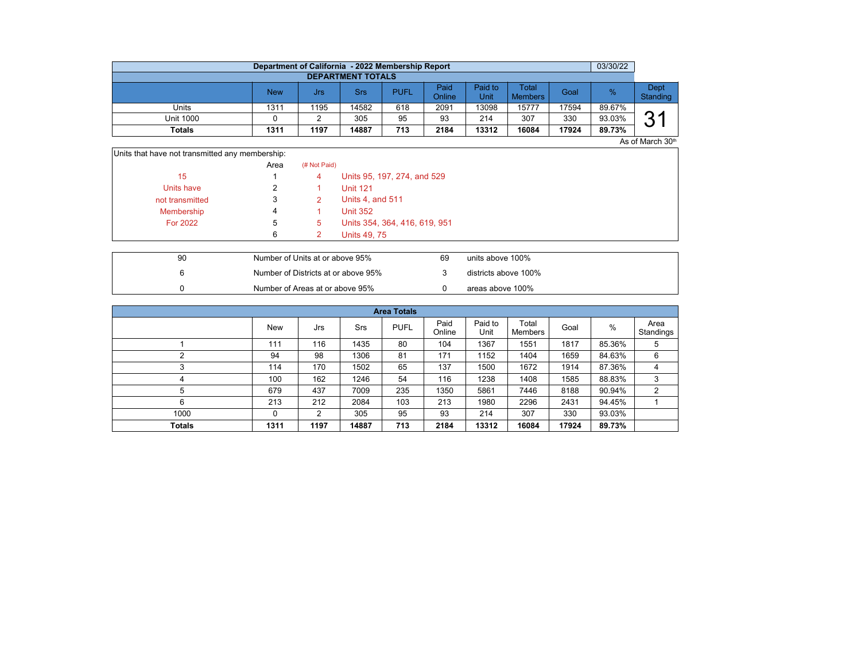|                          | Department of California - 2022 Membership Report |      |       |             |                |                 |                         |       | 03/30/22 |                  |  |  |  |  |
|--------------------------|---------------------------------------------------|------|-------|-------------|----------------|-----------------|-------------------------|-------|----------|------------------|--|--|--|--|
| <b>DEPARTMENT TOTALS</b> |                                                   |      |       |             |                |                 |                         |       |          |                  |  |  |  |  |
|                          | <b>New</b>                                        | Jrs  | Srs   | <b>PUFL</b> | Paid<br>Online | Paid to<br>Unit | Total<br><b>Members</b> | Goal  | $\%$     | Dept<br>Standing |  |  |  |  |
| Units                    | 1311                                              | 1195 | 14582 | 618         | 2091           | 13098           | 15777                   | 17594 | 89.67%   |                  |  |  |  |  |
| Unit 1000                |                                                   |      | 305   | 95          | 93             | 214             | 307                     | 330   | 93.03%   | ?1<br>ບ          |  |  |  |  |
| Totals                   | 1311                                              | 1197 | 14887 | 713         | 2184           | 13312           | 16084                   | 17924 | 89.73%   |                  |  |  |  |  |

As of March 30th

| Units that have not transmitted any membership: |      |              |                               |
|-------------------------------------------------|------|--------------|-------------------------------|
|                                                 | Area | (# Not Paid) |                               |
| 15                                              |      | 4            | Units 95, 197, 274, and 529   |
| Units have                                      |      |              | <b>Unit 121</b>               |
| not transmitted                                 |      |              | Units 4, and 511              |
| Membership                                      | 4    |              | <b>Unit 352</b>               |
| <b>For 2022</b>                                 | 5    | 5            | Units 354, 364, 416, 619, 951 |
|                                                 | 6    |              | <b>Units 49, 75</b>           |

| 90 | Number of Units at or above 95%     | 69 | units above 100%     |
|----|-------------------------------------|----|----------------------|
|    | Number of Districts at or above 95% |    | districts above 100% |
|    | Number of Areas at or above 95%     |    | areas above 100%     |

|               | <b>Area Totals</b> |      |            |             |                |                 |                  |       |        |                   |  |  |  |
|---------------|--------------------|------|------------|-------------|----------------|-----------------|------------------|-------|--------|-------------------|--|--|--|
|               | <b>New</b>         | Jrs  | <b>Srs</b> | <b>PUFL</b> | Paid<br>Online | Paid to<br>Unit | Total<br>Members | Goal  | %      | Area<br>Standings |  |  |  |
|               | 111                | 116  | 1435       | 80          | 104            | 1367            | 1551             | 1817  | 85.36% | 5                 |  |  |  |
|               | 94                 | 98   | 1306       | 81          | 171            | 1152            | 1404             | 1659  | 84.63% | 6                 |  |  |  |
| $\sim$        | 114                | 170  | 1502       | 65          | 137            | 1500            | 1672             | 1914  | 87.36% | 4                 |  |  |  |
| 4             | 100                | 162  | 1246       | 54          | 116            | 1238            | 1408             | 1585  | 88.83% | 3                 |  |  |  |
| 5             | 679                | 437  | 7009       | 235         | 1350           | 5861            | 7446             | 8188  | 90.94% | $\overline{2}$    |  |  |  |
| 6             | 213                | 212  | 2084       | 103         | 213            | 1980            | 2296             | 2431  | 94.45% |                   |  |  |  |
| 1000          | $\Omega$           | 2    | 305        | 95          | 93             | 214             | 307              | 330   | 93.03% |                   |  |  |  |
| <b>Totals</b> | 1311               | 1197 | 14887      | 713         | 2184           | 13312           | 16084            | 17924 | 89.73% |                   |  |  |  |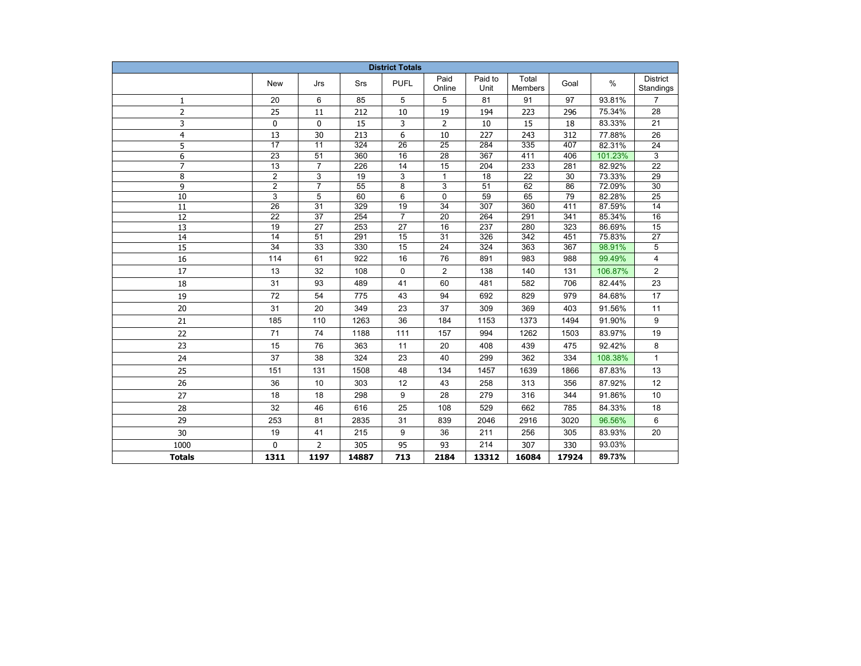| <b>District Totals</b> |                 |                 |       |                 |                 |                 |                         |       |         |                       |
|------------------------|-----------------|-----------------|-------|-----------------|-----------------|-----------------|-------------------------|-------|---------|-----------------------|
|                        | <b>New</b>      | Jrs             | Srs   | <b>PUFL</b>     | Paid<br>Online  | Paid to<br>Unit | Total<br><b>Members</b> | Goal  | $\%$    | District<br>Standings |
| 1                      | 20              | 6               | 85    | 5               | 5               | 81              | 91                      | 97    | 93.81%  | $\overline{7}$        |
| $\overline{2}$         | 25              | 11              | 212   | 10              | 19              | 194             | 223                     | 296   | 75.34%  | 28                    |
| 3                      | 0               | 0               | 15    | 3               | $\mathbf{2}$    | 10              | 15                      | 18    | 83.33%  | 21                    |
| $\overline{4}$         | 13              | 30              | 213   | 6               | 10              | 227             | 243                     | 312   | 77.88%  | 26                    |
| 5                      | $\overline{17}$ | $\overline{11}$ | 324   | $\overline{26}$ | $\overline{25}$ | 284             | 335                     | 407   | 82.31%  | 24                    |
| 6                      | 23              | $\overline{51}$ | 360   | 16              | $\overline{28}$ | 367             | 411                     | 406   | 101.23% | 3                     |
| $\overline{7}$         | $\overline{13}$ | $\overline{7}$  | 226   | 14              | 15              | 204             | 233                     | 281   | 82.92%  | $\overline{22}$       |
| 8                      | $\overline{2}$  | 3               | 19    | 3               | $\mathbf{1}$    | 18              | $\overline{22}$         | 30    | 73.33%  | 29                    |
| 9                      | $\overline{c}$  | $\overline{7}$  | 55    | 8               | 3               | 51              | 62                      | 86    | 72.09%  | 30                    |
| 10                     | 3               | 5               | 60    | 6               | 0               | 59              | 65                      | 79    | 82.28%  | 25                    |
| 11                     | 26              | 31              | 329   | 19              | 34              | 307             | 360                     | 411   | 87.59%  | 14                    |
| 12                     | 22              | 37              | 254   | 7               | 20              | 264             | 291                     | 341   | 85.34%  | 16                    |
| 13                     | 19              | 27              | 253   | 27              | 16              | 237             | 280                     | 323   | 86.69%  | 15                    |
| 14                     | $\overline{14}$ | 51              | 291   | 15              | $\overline{31}$ | 326             | 342                     | 451   | 75.83%  | 27                    |
| $\overline{15}$        | $\overline{34}$ | 33              | 330   | 15              | 24              | 324             | 363                     | 367   | 98.91%  | 5                     |
| 16                     | 114             | 61              | 922   | 16              | 76              | 891             | 983                     | 988   | 99.49%  | 4                     |
| 17                     | 13              | 32              | 108   | $\mathbf 0$     | $\overline{2}$  | 138             | 140                     | 131   | 106.87% | 2                     |
| 18                     | 31              | 93              | 489   | 41              | 60              | 481             | 582                     | 706   | 82.44%  | 23                    |
| 19                     | 72              | 54              | 775   | 43              | 94              | 692             | 829                     | 979   | 84.68%  | 17                    |
| 20                     | 31              | 20              | 349   | 23              | 37              | 309             | 369                     | 403   | 91.56%  | 11                    |
| 21                     | 185             | 110             | 1263  | 36              | 184             | 1153            | 1373                    | 1494  | 91.90%  | 9                     |
| 22                     | 71              | 74              | 1188  | 111             | 157             | 994             | 1262                    | 1503  | 83.97%  | 19                    |
| 23                     | 15              | 76              | 363   | 11              | 20              | 408             | 439                     | 475   | 92.42%  | 8                     |
| 24                     | 37              | 38              | 324   | 23              | 40              | 299             | 362                     | 334   | 108.38% | $\mathbf{1}$          |
| 25                     | 151             | 131             | 1508  | 48              | 134             | 1457            | 1639                    | 1866  | 87.83%  | 13                    |
| 26                     | 36              | 10              | 303   | 12              | 43              | 258             | 313                     | 356   | 87.92%  | 12                    |
| 27                     | 18              | 18              | 298   | 9               | 28              | 279             | 316                     | 344   | 91.86%  | 10                    |
| 28                     | 32              | 46              | 616   | 25              | 108             | 529             | 662                     | 785   | 84.33%  | 18                    |
| 29                     | 253             | 81              | 2835  | 31              | 839             | 2046            | 2916                    | 3020  | 96.56%  | 6                     |
| 30                     | 19              | 41              | 215   | 9               | 36              | 211             | 256                     | 305   | 83.93%  | 20                    |
| 1000                   | $\Omega$        | $\overline{2}$  | 305   | 95              | 93              | 214             | 307                     | 330   | 93.03%  |                       |
| <b>Totals</b>          | 1311            | 1197            | 14887 | 713             | 2184            | 13312           | 16084                   | 17924 | 89.73%  |                       |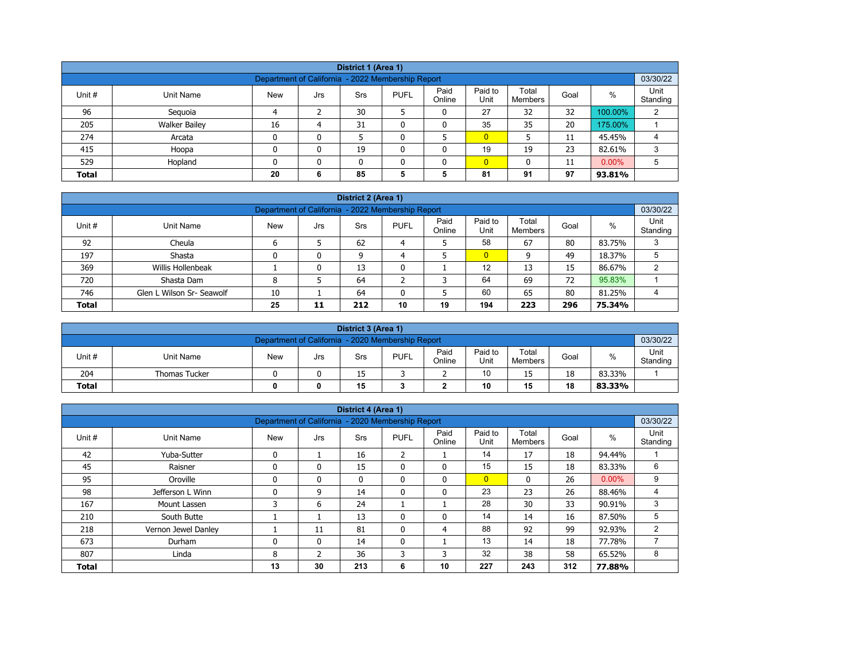| District 1 (Area 1)                                                                                                                                               |                                                                                 |    |   |    |   |   |                |    |    |         |   |  |  |
|-------------------------------------------------------------------------------------------------------------------------------------------------------------------|---------------------------------------------------------------------------------|----|---|----|---|---|----------------|----|----|---------|---|--|--|
| Department of California - 2022 Membership Report                                                                                                                 |                                                                                 |    |   |    |   |   |                |    |    |         |   |  |  |
| Paid<br>Paid to<br>Total<br>$\%$<br>Unit #<br><b>PUFL</b><br>Goal<br>Unit Name<br><b>New</b><br><b>Srs</b><br>Jrs<br>Online<br>Unit<br>Standing<br><b>Members</b> |                                                                                 |    |   |    |   |   |                |    |    |         |   |  |  |
| 96                                                                                                                                                                | Seguoia                                                                         | Δ  |   | 30 |   | 0 | 27             | 32 | 32 | 100.00% | 2 |  |  |
| 205                                                                                                                                                               | <b>Walker Bailey</b>                                                            | 16 | 4 | 31 |   | 0 | 35             | 35 | 20 | 175.00% |   |  |  |
| 274                                                                                                                                                               | Arcata                                                                          | 0  | 0 |    |   |   | $\overline{0}$ |    | 11 | 45.45%  | 4 |  |  |
| 415                                                                                                                                                               | Hoopa                                                                           | 0  | 0 | 19 |   | 0 | 19             | 19 | 23 | 82.61%  | 3 |  |  |
| 529                                                                                                                                                               | $\overline{0}$<br>$0.00\%$<br>Hopland<br>5<br>0<br>$\mathbf{0}$<br>11<br>n<br>0 |    |   |    |   |   |                |    |    |         |   |  |  |
| <b>Total</b>                                                                                                                                                      |                                                                                 | 20 | 6 | 85 | 5 | 5 | 81             | 91 | 97 | 93.81%  |   |  |  |

| District 2 (Area 1)                                                                                                                                        |                                                               |    |   |    |   |   |                |    |    |        |   |  |  |  |
|------------------------------------------------------------------------------------------------------------------------------------------------------------|---------------------------------------------------------------|----|---|----|---|---|----------------|----|----|--------|---|--|--|--|
|                                                                                                                                                            | 03/30/22<br>Department of California - 2022 Membership Report |    |   |    |   |   |                |    |    |        |   |  |  |  |
| Paid to<br>Paid<br>Total<br>$\%$<br>Unit #<br><b>PUFL</b><br><b>New</b><br>Unit Name<br><b>Srs</b><br>Goal<br>Jrs<br>Standing<br>Online<br>Unit<br>Members |                                                               |    |   |    |   |   |                |    |    |        |   |  |  |  |
| 92                                                                                                                                                         | Cheula                                                        |    |   | 62 | 4 |   | 58             | 67 | 80 | 83.75% | 3 |  |  |  |
| 197                                                                                                                                                        | Shasta                                                        |    | 0 | 9  | 4 |   | $\overline{0}$ | 9  | 49 | 18.37% | 5 |  |  |  |
| 369                                                                                                                                                        | Willis Hollenbeak                                             |    | 0 | 13 |   |   | 12             | 13 | 15 | 86.67% | 2 |  |  |  |
| 720                                                                                                                                                        | Shasta Dam                                                    | 8  |   | 64 |   |   | 64             | 69 | 72 | 95.83% |   |  |  |  |
| 746                                                                                                                                                        | Glen L Wilson Sr- Seawolf                                     | 10 |   | 64 |   | 5 | 60             | 65 | 80 | 81.25% | 4 |  |  |  |
| <b>Total</b>                                                                                                                                               | 194<br>25<br>10<br>19<br>296<br>223<br>75.34%<br>11<br>212    |    |   |    |   |   |                |    |    |        |   |  |  |  |

|                                                               | District 3 (Area 1)                 |            |     |     |             |                |                 |                         |      |        |                  |  |  |
|---------------------------------------------------------------|-------------------------------------|------------|-----|-----|-------------|----------------|-----------------|-------------------------|------|--------|------------------|--|--|
| 03/30/22<br>Department of California - 2020 Membership Report |                                     |            |     |     |             |                |                 |                         |      |        |                  |  |  |
| Unit #                                                        | Unit Name                           | <b>New</b> | Jrs | Srs | <b>PUFL</b> | Paid<br>Online | Paid to<br>Unit | Total<br><b>Members</b> | Goal | %      | Unit<br>Standing |  |  |
| 204                                                           | <b>Thomas Tucker</b>                |            |     | 15  |             | -              | 10              | 15                      | 18   | 83.33% |                  |  |  |
| <b>Total</b>                                                  | 15<br>10<br>18<br>15<br>83.33%<br>0 |            |     |     |             |                |                 |                         |      |        |                  |  |  |

|              |                     |                                                   |                | District 4 (Area 1) |                |                |                 |                  |      |          |                  |
|--------------|---------------------|---------------------------------------------------|----------------|---------------------|----------------|----------------|-----------------|------------------|------|----------|------------------|
|              |                     | Department of California - 2020 Membership Report |                |                     |                |                |                 |                  |      |          | 03/30/22         |
| Unit #       | <b>Unit Name</b>    | <b>New</b>                                        | Jrs            | Srs                 | <b>PUFL</b>    | Paid<br>Online | Paid to<br>Unit | Total<br>Members | Goal | $\%$     | Unit<br>Standing |
| 42           | Yuba-Sutter         | $\mathbf{0}$                                      |                | 16                  | $\overline{2}$ |                | 14              | 17               | 18   | 94.44%   |                  |
| 45           | Raisner             | $\mathbf{0}$                                      | 0              | 15                  | $\mathbf{0}$   | $\mathbf{0}$   | 15              | 15               | 18   | 83.33%   | 6                |
| 95           | Oroville            | $\mathbf{0}$                                      | 0              | $\mathbf{0}$        | $\mathbf{0}$   | $\mathbf 0$    | $\overline{0}$  | $\mathbf{0}$     | 26   | $0.00\%$ | 9                |
| 98           | Jefferson L Winn    | $\Omega$                                          | 9              | 14                  | 0              | 0              | 23              | 23               | 26   | 88.46%   | 4                |
| 167          | Mount Lassen        | 3                                                 | 6              | 24                  |                |                | 28              | 30               | 33   | 90.91%   | 3                |
| 210          | South Butte         |                                                   |                | 13                  | $\mathbf{0}$   | 0              | 14              | 14               | 16   | 87.50%   | 5                |
| 218          | Vernon Jewel Danley |                                                   | 11             | 81                  | $\mathbf{0}$   | 4              | 88              | 92               | 99   | 92.93%   | $\overline{2}$   |
| 673          | Durham              | $\mathbf{0}$                                      | $\mathbf{0}$   | 14                  | $\mathbf{0}$   |                | 13              | 14               | 18   | 77.78%   | 7                |
| 807          | Linda               | 8                                                 | $\overline{2}$ | 36                  | 3              | 3              | 32              | 38               | 58   | 65.52%   | 8                |
| <b>Total</b> |                     | 13                                                | 30             | 213                 | 6              | 10             | 227             | 243              | 312  | 77.88%   |                  |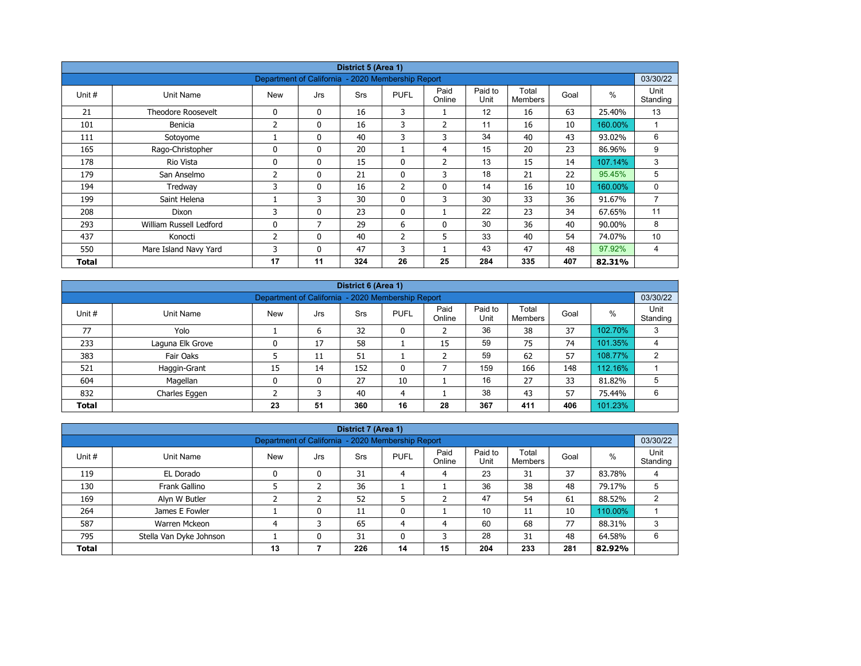|        |                           |                                                   |              | District 5 (Area 1) |                |                |                 |                         |      |         |                  |
|--------|---------------------------|---------------------------------------------------|--------------|---------------------|----------------|----------------|-----------------|-------------------------|------|---------|------------------|
|        |                           | Department of California - 2020 Membership Report |              |                     |                |                |                 |                         |      |         | 03/30/22         |
| Unit # | Unit Name                 | <b>New</b>                                        | Jrs          | <b>Srs</b>          | <b>PUFL</b>    | Paid<br>Online | Paid to<br>Unit | Total<br><b>Members</b> | Goal | $\%$    | Unit<br>Standing |
| 21     | <b>Theodore Roosevelt</b> | 0                                                 | $\mathbf{0}$ | 16                  | 3              |                | 12              | 16                      | 63   | 25.40%  | 13               |
| 101    | Benicia                   | 2                                                 | 0            | 16                  | 3              | $\overline{2}$ | 11              | 16                      | 10   | 160.00% | $\overline{ }$   |
| 111    | Sotoyome                  |                                                   | $\mathbf{0}$ | 40                  | 3              | 3              | 34              | 40                      | 43   | 93.02%  | 6                |
| 165    | Rago-Christopher          | $\Omega$                                          | $\mathbf{0}$ | 20                  |                | 4              | 15              | 20                      | 23   | 86.96%  | 9                |
| 178    | Rio Vista                 | 0                                                 | $\mathbf{0}$ | 15                  | 0              | 2              | 13              | 15                      | 14   | 107.14% | 3                |
| 179    | San Anselmo               | 2                                                 | $\mathbf{0}$ | 21                  | $\mathbf{0}$   | 3              | 18              | 21                      | 22   | 95.45%  | 5                |
| 194    | Tredway                   | 3                                                 | 0            | 16                  | $\overline{2}$ | $\mathbf 0$    | 14              | 16                      | 10   | 160.00% | 0                |
| 199    | Saint Helena              |                                                   | 3            | 30                  | $\mathbf{0}$   | 3              | 30              | 33                      | 36   | 91.67%  | $\overline{7}$   |
| 208    | Dixon                     | 3                                                 | 0            | 23                  | $\mathbf{0}$   |                | 22              | 23                      | 34   | 67.65%  | 11               |
| 293    | William Russell Ledford   | 0                                                 | 7            | 29                  | 6              | 0              | 30              | 36                      | 40   | 90.00%  | 8                |
| 437    | Konocti                   | 2                                                 | $\mathbf{0}$ | 40                  | $\overline{2}$ | 5              | 33              | 40                      | 54   | 74.07%  | 10               |
| 550    | Mare Island Navy Yard     | 3                                                 | $\mathbf{0}$ | 47                  | 3              |                | 43              | 47                      | 48   | 97.92%  | 4                |
| Total  |                           | 17                                                | 11           | 324                 | 26             | 25             | 284             | 335                     | 407  | 82.31%  |                  |

|              | District 6 (Area 1)                                           |            |     |            |              |                |                 |                         |      |         |                  |  |  |  |
|--------------|---------------------------------------------------------------|------------|-----|------------|--------------|----------------|-----------------|-------------------------|------|---------|------------------|--|--|--|
|              | 03/30/22<br>Department of California - 2020 Membership Report |            |     |            |              |                |                 |                         |      |         |                  |  |  |  |
| Unit #       | Unit Name                                                     | <b>New</b> | Jrs | <b>Srs</b> | <b>PUFL</b>  | Paid<br>Online | Paid to<br>Unit | Total<br><b>Members</b> | Goal | %       | Unit<br>Standing |  |  |  |
| 77           | Yolo                                                          |            | 6   | 32         | 0            |                | 36              | 38                      | 37   | 102.70% | 3                |  |  |  |
| 233          | Laguna Elk Grove                                              |            | 17  | 58         |              | 15             | 59              | 75                      | 74   | 101.35% | 4                |  |  |  |
| 383          | Fair Oaks                                                     |            | 11  | 51         |              |                | 59              | 62                      | 57   | 108.77% | 2                |  |  |  |
| 521          | Haggin-Grant                                                  | 15         | 14  | 152        | $\mathbf{0}$ |                | 159             | 166                     | 148  | 112.16% |                  |  |  |  |
| 604          | Magellan                                                      | 0          | 0   | 27         | 10           |                | 16              | 27                      | 33   | 81.82%  | 5                |  |  |  |
| 832          | Charles Eggen                                                 |            | 3   | 40         | 4            |                | 38              | 43                      | 57   | 75.44%  | 6                |  |  |  |
| <b>Total</b> |                                                               | 23         | 51  | 360        | 16           | 28             | 367             | 411                     | 406  | 101.23% |                  |  |  |  |

|              |                                                                               |                                                   |     | District 7 (Area 1) |             |                |                 |                  |      |         |                  |
|--------------|-------------------------------------------------------------------------------|---------------------------------------------------|-----|---------------------|-------------|----------------|-----------------|------------------|------|---------|------------------|
|              |                                                                               | Department of California - 2020 Membership Report |     |                     |             |                |                 |                  |      |         | 03/30/22         |
| Unit #       | Unit Name                                                                     | <b>New</b>                                        | Jrs | Srs                 | <b>PUFL</b> | Paid<br>Online | Paid to<br>Unit | Total<br>Members | Goal | $\%$    | Unit<br>Standing |
| 119          | EL Dorado                                                                     |                                                   | 0   | 31                  | 4           | 4              | 23              | 31               | 37   | 83.78%  | 4                |
| 130          | Frank Gallino                                                                 |                                                   |     | 36                  |             |                | 36              | 38               | 48   | 79.17%  |                  |
| 169          | Alyn W Butler                                                                 |                                                   |     | 52                  |             |                | 47              | 54               | 61   | 88.52%  |                  |
| 264          | James E Fowler                                                                |                                                   | 0   | 11                  | 0           |                | 10              | 11               | 10   | 110.00% |                  |
| 587          | Warren Mckeon                                                                 |                                                   | 3   | 65                  | 4           | 4              | 60              | 68               | 77   | 88.31%  | 3                |
| 795          | 28<br>48<br>Stella Van Dyke Johnson<br>31<br>31<br>0<br>3<br>64.58%<br>6<br>0 |                                                   |     |                     |             |                |                 |                  |      |         |                  |
| <b>Total</b> |                                                                               | 13                                                |     | 226                 | 14          | 15             | 204             | 233              | 281  | 82.92%  |                  |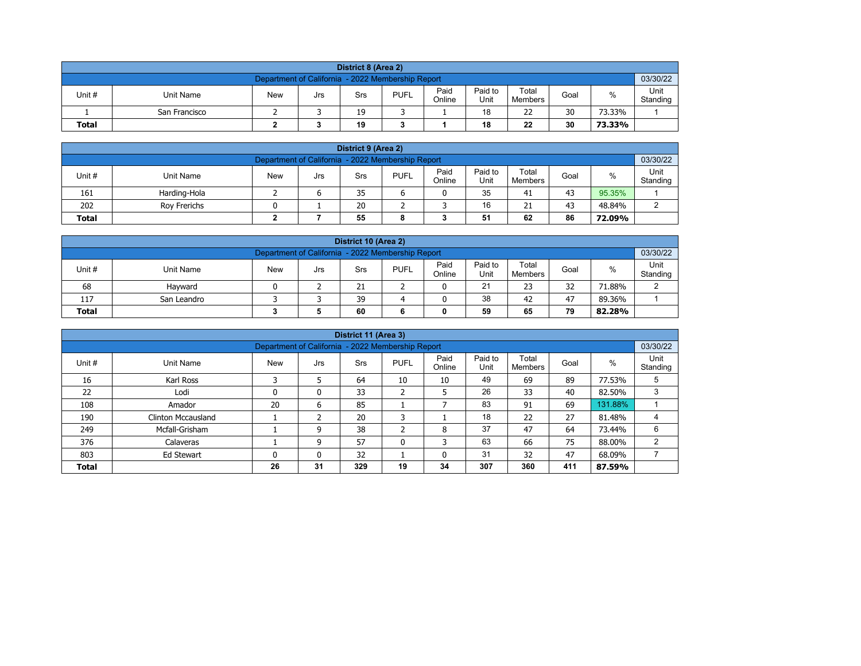| District 8 (Area 2)                                                                                                                                     |                                                               |  |  |  |  |  |  |  |  |  |  |  |  |  |
|---------------------------------------------------------------------------------------------------------------------------------------------------------|---------------------------------------------------------------|--|--|--|--|--|--|--|--|--|--|--|--|--|
|                                                                                                                                                         | 03/30/22<br>Department of California - 2022 Membership Report |  |  |  |  |  |  |  |  |  |  |  |  |  |
| Paid<br>Paid to<br>Total<br><b>PUFL</b><br>%<br>Unit #<br>Unit Name<br><b>New</b><br>Goal<br>Srs<br>Jrs<br>Unit<br>Online<br>Standing<br><b>Members</b> |                                                               |  |  |  |  |  |  |  |  |  |  |  |  |  |
|                                                                                                                                                         | 30<br>18<br>22<br>19<br>73.33%<br>San Francisco               |  |  |  |  |  |  |  |  |  |  |  |  |  |
| <b>Total</b>                                                                                                                                            | 22<br>30<br>19<br>18<br>73.33%                                |  |  |  |  |  |  |  |  |  |  |  |  |  |

| District 9 (Area 2)                                                                                                                                     |                                                     |  |  |    |  |  |    |    |    |        |  |  |  |  |
|---------------------------------------------------------------------------------------------------------------------------------------------------------|-----------------------------------------------------|--|--|----|--|--|----|----|----|--------|--|--|--|--|
| Department of California - 2022 Membership Report                                                                                                       |                                                     |  |  |    |  |  |    |    |    |        |  |  |  |  |
| Paid<br>Paid to<br>Total<br>Unit #<br><b>PUFL</b><br>%<br><b>New</b><br><b>Unit Name</b><br>Goal<br>Srs<br>Jrs<br>Standing<br>Online<br>Unit<br>Members |                                                     |  |  |    |  |  |    |    |    |        |  |  |  |  |
| 161                                                                                                                                                     | Harding-Hola                                        |  |  | 35 |  |  | 35 | 41 | 43 | 95.35% |  |  |  |  |
| 202                                                                                                                                                     | 16<br>20<br>21<br>43<br>48.84%<br>Rov Frerichs<br>ົ |  |  |    |  |  |    |    |    |        |  |  |  |  |
| 51<br>86<br>55<br>62<br><b>Total</b><br>72.09%<br>8                                                                                                     |                                                     |  |  |    |  |  |    |    |    |        |  |  |  |  |

| District 10 (Area 2)                                                                                                                                    |                                               |  |  |    |  |  |    |    |    |        |  |  |  |
|---------------------------------------------------------------------------------------------------------------------------------------------------------|-----------------------------------------------|--|--|----|--|--|----|----|----|--------|--|--|--|
| 03/30/22<br>Department of California - 2022 Membership Report                                                                                           |                                               |  |  |    |  |  |    |    |    |        |  |  |  |
| Paid<br>Paid to<br>Total<br>Unit #<br>%<br><b>PUFL</b><br><b>New</b><br>Unit Name<br>Goal<br>Srs<br>Jrs<br>Online<br>Standing<br>Unit<br><b>Members</b> |                                               |  |  |    |  |  |    |    |    |        |  |  |  |
| 68                                                                                                                                                      | Havward                                       |  |  | 21 |  |  | 21 | 23 | 32 | 71.88% |  |  |  |
| 117                                                                                                                                                     | 38<br>39<br>47<br>42<br>89.36%<br>San Leandro |  |  |    |  |  |    |    |    |        |  |  |  |
| 79<br>59<br>60<br><b>Total</b><br>65<br>82.28%<br>0                                                                                                     |                                               |  |  |    |  |  |    |    |    |        |  |  |  |

| District 11 (Area 3) |                                                                                                                                                          |                                                   |    |     |         |    |     |     |     |         |          |  |  |  |
|----------------------|----------------------------------------------------------------------------------------------------------------------------------------------------------|---------------------------------------------------|----|-----|---------|----|-----|-----|-----|---------|----------|--|--|--|
|                      |                                                                                                                                                          | Department of California - 2022 Membership Report |    |     |         |    |     |     |     |         | 03/30/22 |  |  |  |
| Unit #               | Paid<br>Paid to<br>Total<br>Unit<br>$\%$<br><b>New</b><br><b>PUFL</b><br>Goal<br>Unit Name<br><b>Srs</b><br>Jrs<br>Unit<br>Online<br>Standing<br>Members |                                                   |    |     |         |    |     |     |     |         |          |  |  |  |
| 16                   | Karl Ross                                                                                                                                                | C                                                 |    | 64  | 10      | 10 | 49  | 69  | 89  | 77.53%  | 5        |  |  |  |
| 22                   | Lodi                                                                                                                                                     | 0                                                 | 0  | 33  | h<br>∠  | 5  | 26  | 33  | 40  | 82.50%  | 3        |  |  |  |
| 108                  | Amador                                                                                                                                                   | 20                                                | 6  | 85  |         |    | 83  | 91  | 69  | 131.88% |          |  |  |  |
| 190                  | Clinton Mccausland                                                                                                                                       |                                                   | h  | 20  | 3       |    | 18  | 22  | 27  | 81.48%  |          |  |  |  |
| 249                  | Mcfall-Grisham                                                                                                                                           |                                                   | 9  | 38  | C.<br>∠ | 8  | 37  | 47  | 64  | 73.44%  | 6        |  |  |  |
| 376                  | Calaveras                                                                                                                                                |                                                   | 9  | 57  | 0       | 3  | 63  | 66  | 75  | 88.00%  | C        |  |  |  |
| 803                  | 32<br>31<br>47<br>32<br>68.09%<br>Ed Stewart<br>$\mathbf{0}$<br>0<br>0                                                                                   |                                                   |    |     |         |    |     |     |     |         |          |  |  |  |
| <b>Total</b>         |                                                                                                                                                          | 26                                                | 31 | 329 | 19      | 34 | 307 | 360 | 411 | 87.59%  |          |  |  |  |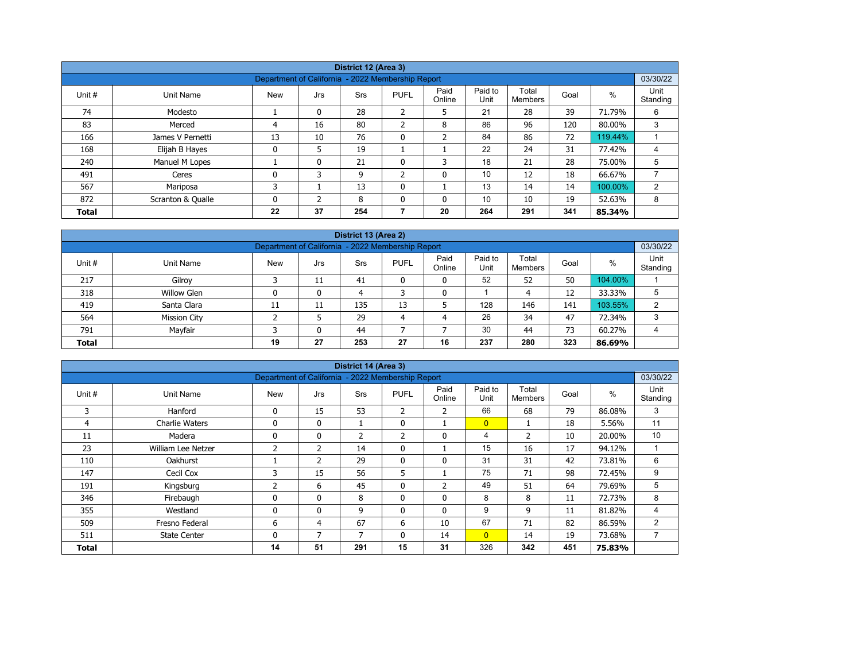| District 12 (Area 3) |                   |                                                   |              |            |                |                |                 |                         |      |         |                  |  |  |
|----------------------|-------------------|---------------------------------------------------|--------------|------------|----------------|----------------|-----------------|-------------------------|------|---------|------------------|--|--|
|                      |                   |                                                   |              |            |                |                |                 |                         |      |         |                  |  |  |
|                      |                   | Department of California - 2022 Membership Report |              |            |                |                |                 |                         |      |         | 03/30/22         |  |  |
| Unit #               | Unit Name         | <b>New</b>                                        | Jrs          | <b>Srs</b> | <b>PUFL</b>    | Paid<br>Online | Paid to<br>Unit | Total<br><b>Members</b> | Goal | %       | Unit<br>Standing |  |  |
| 74                   | Modesto           |                                                   | 0            | 28         | $\overline{2}$ | 5              | 21              | 28                      | 39   | 71.79%  | 6                |  |  |
| 83                   | Merced            | 4                                                 | 16           | 80         | $\overline{2}$ | 8              | 86              | 96                      | 120  | 80.00%  | 3                |  |  |
| 166                  | James V Pernetti  | 13                                                | 10           | 76         | $\mathbf{0}$   | $\overline{2}$ | 84              | 86                      | 72   | 119.44% |                  |  |  |
| 168                  | Elijah B Hayes    | 0                                                 | 5            | 19         |                |                | 22              | 24                      | 31   | 77.42%  | 4                |  |  |
| 240                  | Manuel M Lopes    |                                                   | $\mathbf{0}$ | 21         | 0              | 3              | 18              | 21                      | 28   | 75.00%  | 5                |  |  |
| 491                  | Ceres             | 0                                                 | 3            | 9          | $\overline{2}$ | 0              | 10              | 12                      | 18   | 66.67%  |                  |  |  |
| 567                  | Mariposa          | 3                                                 |              | 13         | $\mathbf{0}$   |                | 13              | 14                      | 14   | 100.00% | 2                |  |  |
| 872                  | Scranton & Qualle | 0                                                 | <sup>-</sup> | 8          | $\Omega$       | 0              | 10              | 10                      | 19   | 52.63%  | 8                |  |  |
| <b>Total</b>         |                   | 22                                                | 37           | 254        |                | 20             | 264             | 291                     | 341  | 85.34%  |                  |  |  |

| District 13 (Area 2)                                                                                                                                    |                                                               |    |    |     |    |    |     |     |     |         |   |  |  |  |  |
|---------------------------------------------------------------------------------------------------------------------------------------------------------|---------------------------------------------------------------|----|----|-----|----|----|-----|-----|-----|---------|---|--|--|--|--|
|                                                                                                                                                         | 03/30/22<br>Department of California - 2022 Membership Report |    |    |     |    |    |     |     |     |         |   |  |  |  |  |
| Unit<br>Paid<br>Paid to<br>Total<br>%<br>Unit#<br><b>New</b><br><b>PUFL</b><br>Unit Name<br>Goal<br>Srs<br>Jrs<br>Standing<br>Online<br>Unit<br>Members |                                                               |    |    |     |    |    |     |     |     |         |   |  |  |  |  |
| 217                                                                                                                                                     | Gilroy                                                        |    | 11 | 41  |    | 0  | 52  | 52  | 50  | 104.00% |   |  |  |  |  |
| 318                                                                                                                                                     | <b>Willow Glen</b>                                            |    | 0  | 4   |    | 0  |     | 4   | 12  | 33.33%  | 5 |  |  |  |  |
| 419                                                                                                                                                     | Santa Clara                                                   | 11 | 11 | 135 | 13 |    | 128 | 146 | 141 | 103.55% | 2 |  |  |  |  |
| 564                                                                                                                                                     | <b>Mission City</b>                                           |    |    | 29  | 4  | 4  | 26  | 34  | 47  | 72.34%  | 3 |  |  |  |  |
| Mayfair<br>30<br>73<br>791<br>44<br>44<br>60.27%<br>$\mathbf{0}$<br>4                                                                                   |                                                               |    |    |     |    |    |     |     |     |         |   |  |  |  |  |
| <b>Total</b>                                                                                                                                            |                                                               | 19 | 27 | 253 | 27 | 16 | 237 | 280 | 323 | 86.69%  |   |  |  |  |  |

| District 14 (Area 3)<br>03/30/22                  |                       |             |               |                |              |                |                 |                         |      |        |                  |  |  |  |
|---------------------------------------------------|-----------------------|-------------|---------------|----------------|--------------|----------------|-----------------|-------------------------|------|--------|------------------|--|--|--|
| Department of California - 2022 Membership Report |                       |             |               |                |              |                |                 |                         |      |        |                  |  |  |  |
| Unit #                                            | Unit Name             | <b>New</b>  | Jrs           | Srs            | <b>PUFL</b>  | Paid<br>Online | Paid to<br>Unit | Total<br><b>Members</b> | Goal | %      | Unit<br>Standing |  |  |  |
| 3                                                 | Hanford               | 0           | 15            | 53             | 2            | 2              | 66              | 68                      | 79   | 86.08% | 3                |  |  |  |
| 4                                                 | <b>Charlie Waters</b> | 0           | $\mathbf{0}$  | Τ.             | $\mathbf{0}$ |                | $\overline{0}$  |                         | 18   | 5.56%  | 11               |  |  |  |
| 11                                                | Madera                | 0           | 0             | $\overline{2}$ | 2            | 0              | 4               | $\overline{2}$          | 10   | 20.00% | 10               |  |  |  |
| 23                                                | William Lee Netzer    | 2           | 2             | 14             | $\mathbf{0}$ |                | 15              | 16                      | 17   | 94.12% |                  |  |  |  |
| 110                                               | Oakhurst              |             | $\mathcal{P}$ | 29             | 0            | 0              | 31              | 31                      | 42   | 73.81% | 6                |  |  |  |
| 147                                               | Cecil Cox             | 3           | 15            | 56             | 5            |                | 75              | 71                      | 98   | 72.45% | 9                |  |  |  |
| 191                                               | Kingsburg             | 2           | 6             | 45             | $\mathbf{0}$ | $\overline{2}$ | 49              | 51                      | 64   | 79.69% | 5                |  |  |  |
| 346                                               | Firebaugh             | 0           | $\mathbf{0}$  | 8              | 0            | 0              | 8               | 8                       | 11   | 72.73% | 8                |  |  |  |
| 355                                               | Westland              | $\mathbf 0$ | $\mathbf{0}$  | 9              | $\mathbf{0}$ | $\mathbf{0}$   | 9               | 9                       | 11   | 81.82% | 4                |  |  |  |
| 509                                               | Fresno Federal        | 6           | 4             | 67             | 6            | 10             | 67              | 71                      | 82   | 86.59% | 2                |  |  |  |
| 511                                               | <b>State Center</b>   | 0           | 7             | 7              | $\mathbf{0}$ | 14             | $\overline{0}$  | 14                      | 19   | 73.68% | 7                |  |  |  |
| Total                                             |                       | 14          | 51            | 291            | 15           | 31             | 326             | 342                     | 451  | 75.83% |                  |  |  |  |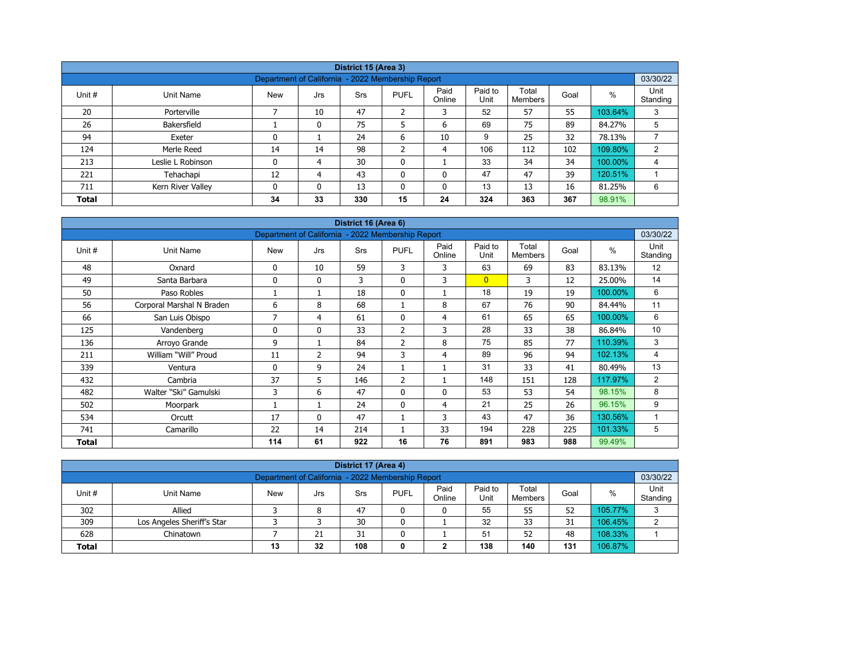|              |                   |                                                   |          | District 15 (Area 3) |                |                |                 |                  |      |         |                  |  |  |
|--------------|-------------------|---------------------------------------------------|----------|----------------------|----------------|----------------|-----------------|------------------|------|---------|------------------|--|--|
|              |                   | Department of California - 2022 Membership Report |          |                      |                |                |                 |                  |      |         | 03/30/22         |  |  |
| Unit #       | Unit Name         | <b>New</b>                                        | Jrs      | Srs                  | <b>PUFL</b>    | Paid<br>Online | Paid to<br>Unit | Total<br>Members | Goal | $\%$    | Unit<br>Standing |  |  |
| 20           | Porterville       |                                                   | 10       | 47                   | $\overline{2}$ | 3              | 52              | 57               | 55   | 103.64% | 3                |  |  |
| 26           | Bakersfield       |                                                   | 0        | 75                   | 5              | 6              | 69              | 75               | 89   | 84.27%  | 5                |  |  |
| 94           | Exeter            | 0                                                 |          | 24                   | 6              | 10             | 9               | 25               | 32   | 78.13%  |                  |  |  |
| 124          | Merle Reed        | 14                                                | 14       | 98                   | h              | 4              | 106             | 112              | 102  | 109.80% | $\overline{2}$   |  |  |
| 213          | Leslie L Robinson | 0                                                 | 4        | 30                   | $\mathbf 0$    |                | 33              | 34               | 34   | 100.00% | 4                |  |  |
| 221          | Tehachapi         | 12                                                | 4        | 43                   | $\mathbf{0}$   | 0              | 47              | 47               | 39   | 120.51% |                  |  |  |
| 711          | Kern River Valley | 0                                                 | $\Omega$ | 13                   | $\mathbf{0}$   | 0              | 13              | 13               | 16   | 81.25%  | 6                |  |  |
| <b>Total</b> |                   | 34                                                | 33       | 330                  | 15             | 24             | 324             | 363              | 367  | 98.91%  |                  |  |  |

| District 16 (Area 6) |                           |                                                   |                |     |                |                |                 |                         |      |         |                  |  |  |
|----------------------|---------------------------|---------------------------------------------------|----------------|-----|----------------|----------------|-----------------|-------------------------|------|---------|------------------|--|--|
|                      |                           | Department of California - 2022 Membership Report |                |     |                |                |                 |                         |      |         | 03/30/22         |  |  |
| Unit #               | Unit Name                 | <b>New</b>                                        | Jrs            | Srs | <b>PUFL</b>    | Paid<br>Online | Paid to<br>Unit | Total<br><b>Members</b> | Goal | $\%$    | Unit<br>Standing |  |  |
| 48                   | Oxnard                    | 0                                                 | 10             | 59  | 3              | 3              | 63              | 69                      | 83   | 83.13%  | 12               |  |  |
| 49                   | Santa Barbara             | $\mathbf 0$                                       | $\mathbf{0}$   | 3   | $\mathbf{0}$   | 3              | $\overline{0}$  | 3                       | 12   | 25.00%  | 14               |  |  |
| 50                   | Paso Robles               |                                                   | 1              | 18  | $\mathbf 0$    |                | 18              | 19                      | 19   | 100.00% | 6                |  |  |
| 56                   | Corporal Marshal N Braden | 6                                                 | 8              | 68  |                | 8              | 67              | 76                      | 90   | 84.44%  | 11               |  |  |
| 66                   | San Luis Obispo           | 7                                                 | 4              | 61  | $\mathbf{0}$   | 4              | 61              | 65                      | 65   | 100.00% | 6                |  |  |
| 125                  | Vandenberg                | 0                                                 | $\mathbf{0}$   | 33  | 2              | 3              | 28              | 33                      | 38   | 86.84%  | 10               |  |  |
| 136                  | Arroyo Grande             | 9                                                 | 1              | 84  | $\overline{2}$ | 8              | 75              | 85                      | 77   | 110.39% | 3                |  |  |
| 211                  | William "Will" Proud      | 11                                                | $\overline{2}$ | 94  | 3              | 4              | 89              | 96                      | 94   | 102.13% | 4                |  |  |
| 339                  | Ventura                   | 0                                                 | 9              | 24  |                |                | 31              | 33                      | 41   | 80.49%  | 13               |  |  |
| 432                  | Cambria                   | 37                                                | 5              | 146 | $\overline{2}$ |                | 148             | 151                     | 128  | 117.97% | 2                |  |  |
| 482                  | Walter "Ski" Gamulski     | 3                                                 | 6              | 47  | $\mathbf{0}$   | $\Omega$       | 53              | 53                      | 54   | 98.15%  | 8                |  |  |
| 502                  | Moorpark                  |                                                   | 1              | 24  | $\mathbf{0}$   | 4              | 21              | 25                      | 26   | 96.15%  | 9                |  |  |
| 534                  | Orcutt                    | 17                                                | $\mathbf{0}$   | 47  |                | 3              | 43              | 47                      | 36   | 130.56% |                  |  |  |
| 741                  | Camarillo                 | 22                                                | 14             | 214 |                | 33             | 194             | 228                     | 225  | 101.33% | 5                |  |  |
| <b>Total</b>         |                           | 114                                               | 61             | 922 | 16             | 76             | 891             | 983                     | 988  | 99.49%  |                  |  |  |

| District 17 (Area 4)                                                                                                                                     |                            |  |    |    |   |   |    |    |    |         |   |  |  |
|----------------------------------------------------------------------------------------------------------------------------------------------------------|----------------------------|--|----|----|---|---|----|----|----|---------|---|--|--|
| 03/30/22<br>Department of California - 2022 Membership Report                                                                                            |                            |  |    |    |   |   |    |    |    |         |   |  |  |
| Paid to<br>Paid<br>Unit<br>Total<br>%<br>Unit #<br><b>PUFL</b><br><b>New</b><br>Goal<br>Unit Name<br>Srs<br>Jrs<br>Unit<br>Standing<br>Online<br>Members |                            |  |    |    |   |   |    |    |    |         |   |  |  |
| 302                                                                                                                                                      | Allied                     |  | 8  | 47 |   | 0 | 55 | 55 | 52 | 105.77% | ີ |  |  |
| 309                                                                                                                                                      | Los Angeles Sheriff's Star |  |    | 30 |   |   | 32 | 33 | 31 | 106.45% |   |  |  |
| 628                                                                                                                                                      | Chinatown                  |  | 21 | 31 | 0 |   | 51 | 52 | 48 | 108.33% |   |  |  |
| 108<br>138<br>106.87%<br>32<br>140<br>131<br><b>Total</b><br>13<br>◠<br>0                                                                                |                            |  |    |    |   |   |    |    |    |         |   |  |  |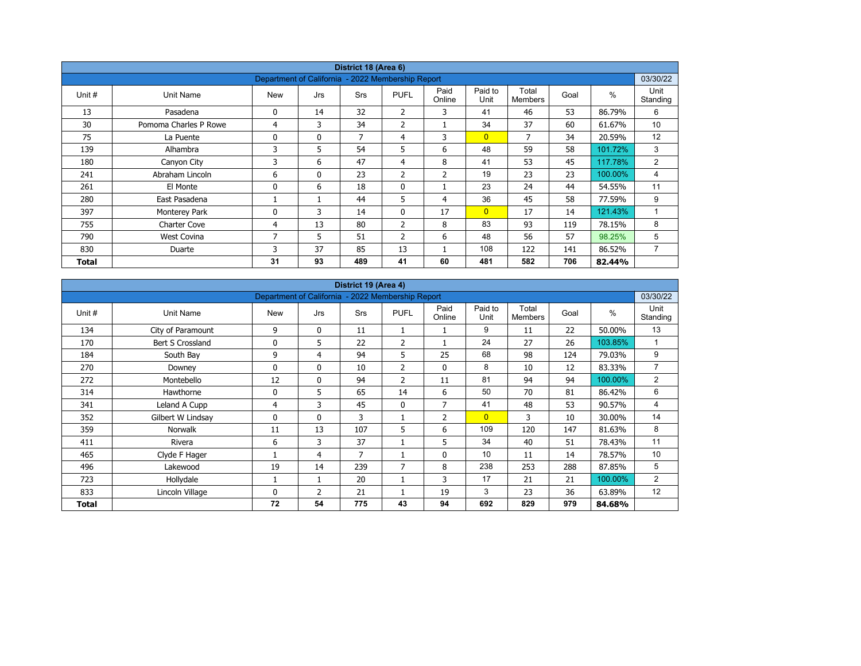| District 18 (Area 6) |                       |                                                   |              |            |                |                |                 |                         |      |               |                  |  |  |
|----------------------|-----------------------|---------------------------------------------------|--------------|------------|----------------|----------------|-----------------|-------------------------|------|---------------|------------------|--|--|
|                      |                       | Department of California - 2022 Membership Report |              |            |                |                |                 |                         |      |               | 03/30/22         |  |  |
| Unit #               | Unit Name             | <b>New</b>                                        | Jrs          | <b>Srs</b> | <b>PUFL</b>    | Paid<br>Online | Paid to<br>Unit | Total<br><b>Members</b> | Goal | $\frac{0}{0}$ | Unit<br>Standing |  |  |
| 13                   | Pasadena              | 0                                                 | 14           | 32         | 2              | 3              | 41              | 46                      | 53   | 86.79%        | 6                |  |  |
| 30                   | Pomoma Charles P Rowe | 4                                                 | 3            | 34         | 2              |                | 34              | 37                      | 60   | 61.67%        | 10               |  |  |
| 75                   | La Puente             | 0                                                 | $\mathbf{0}$ | 7          | 4              | 3              | $\overline{0}$  | 7                       | 34   | 20.59%        | 12               |  |  |
| 139                  | Alhambra              | 3                                                 | 5            | 54         | 5              | 6              | 48              | 59                      | 58   | 101.72%       | 3                |  |  |
| 180                  | Canyon City           | 3                                                 | 6            | 47         | $\overline{4}$ | 8              | 41              | 53                      | 45   | 117.78%       | 2                |  |  |
| 241                  | Abraham Lincoln       | 6                                                 | $\mathbf{0}$ | 23         | 2              | $\overline{2}$ | 19              | 23                      | 23   | 100.00%       | 4                |  |  |
| 261                  | El Monte              | 0                                                 | 6            | 18         | $\mathbf 0$    |                | 23              | 24                      | 44   | 54.55%        | 11               |  |  |
| 280                  | East Pasadena         |                                                   |              | 44         | 5              | 4              | 36              | 45                      | 58   | 77.59%        | 9                |  |  |
| 397                  | Monterey Park         | 0                                                 | 3            | 14         | $\mathbf{0}$   | 17             | $\overline{0}$  | 17                      | 14   | 121.43%       | 1                |  |  |
| 755                  | Charter Cove          | 4                                                 | 13           | 80         | $\overline{2}$ | 8              | 83              | 93                      | 119  | 78.15%        | 8                |  |  |
| 790                  | <b>West Covina</b>    | 7                                                 | 5            | 51         | $\overline{2}$ | 6              | 48              | 56                      | 57   | 98.25%        | 5                |  |  |
| 830                  | Duarte                | 3                                                 | 37           | 85         | 13             |                | 108             | 122                     | 141  | 86.52%        | 7                |  |  |
| Total                |                       | 31                                                | 93           | 489        | 41             | 60             | 481             | 582                     | 706  | 82.44%        |                  |  |  |

| District 19 (Area 4)<br>Department of California - 2022 Membership Report |                   |            |                |     |                |                |                 |                         |      |               |                  |  |  |
|---------------------------------------------------------------------------|-------------------|------------|----------------|-----|----------------|----------------|-----------------|-------------------------|------|---------------|------------------|--|--|
|                                                                           |                   |            |                |     |                |                |                 |                         |      |               | 03/30/22         |  |  |
| Unit #                                                                    | Unit Name         | <b>New</b> | Jrs            | Srs | <b>PUFL</b>    | Paid<br>Online | Paid to<br>Unit | Total<br><b>Members</b> | Goal | $\frac{0}{0}$ | Unit<br>Standing |  |  |
| 134                                                                       | City of Paramount | 9          | $\mathbf{0}$   | 11  |                |                | 9               | 11                      | 22   | 50.00%        | 13               |  |  |
| 170                                                                       | Bert S Crossland  | 0          | 5              | 22  | $\overline{2}$ |                | 24              | 27                      | 26   | 103.85%       | 1                |  |  |
| 184                                                                       | South Bay         | 9          | $\overline{4}$ | 94  | 5              | 25             | 68              | 98                      | 124  | 79.03%        | 9                |  |  |
| 270                                                                       | Downey            | 0          | $\mathbf{0}$   | 10  | 2              | 0              | 8               | 10                      | 12   | 83.33%        | $\overline{7}$   |  |  |
| 272                                                                       | Montebello        | 12         | $\mathbf{0}$   | 94  | 2              | 11             | 81              | 94                      | 94   | 100.00%       | 2                |  |  |
| 314                                                                       | Hawthorne         | 0          | 5              | 65  | 14             | 6              | 50              | 70                      | 81   | 86.42%        | 6                |  |  |
| 341                                                                       | Leland A Cupp     | 4          | 3              | 45  | $\mathbf{0}$   | $\overline{7}$ | 41              | 48                      | 53   | 90.57%        | 4                |  |  |
| 352                                                                       | Gilbert W Lindsay | 0          | $\mathbf{0}$   | 3   |                | 2              | $\overline{0}$  | 3                       | 10   | 30.00%        | 14               |  |  |
| 359                                                                       | <b>Norwalk</b>    | 11         | 13             | 107 | 5              | 6              | 109             | 120                     | 147  | 81.63%        | 8                |  |  |
| 411                                                                       | Rivera            | 6          | 3              | 37  |                | 5              | 34              | 40                      | 51   | 78.43%        | 11               |  |  |
| 465                                                                       | Clyde F Hager     |            | 4              | 7   |                | 0              | 10              | 11                      | 14   | 78.57%        | 10               |  |  |
| 496                                                                       | Lakewood          | 19         | 14             | 239 | $\overline{7}$ | 8              | 238             | 253                     | 288  | 87.85%        | 5                |  |  |
| 723                                                                       | Hollydale         |            | $\mathbf{1}$   | 20  |                | 3              | 17              | 21                      | 21   | 100.00%       | 2                |  |  |
| 833                                                                       | Lincoln Village   | 0          | 2              | 21  |                | 19             | 3               | 23                      | 36   | 63.89%        | 12               |  |  |
| Total                                                                     |                   | 72         | 54             | 775 | 43             | 94             | 692             | 829                     | 979  | 84.68%        |                  |  |  |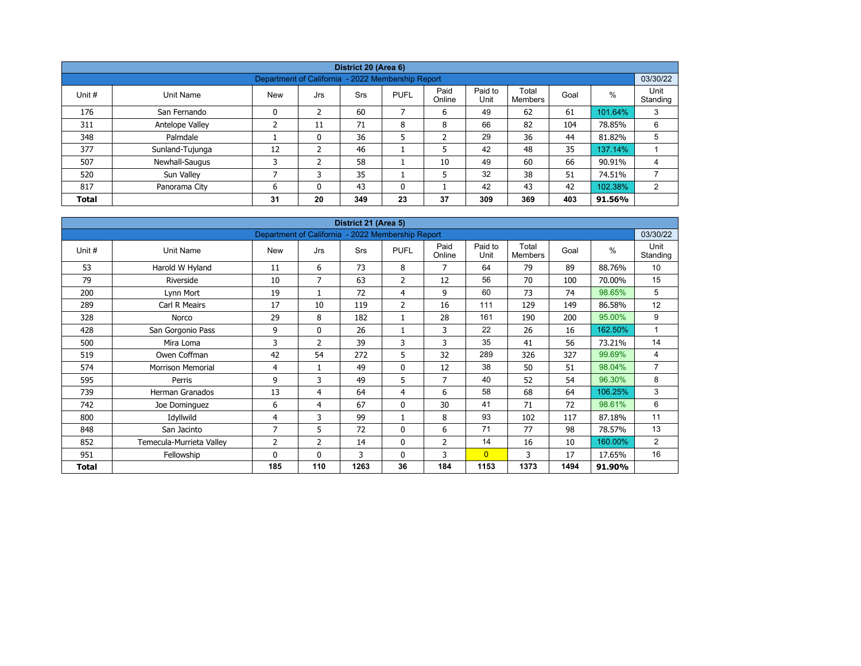|              |                                                               |            |     | District 20 (Area 6) |              |                |                 |                  |      |         |                  |  |  |  |  |
|--------------|---------------------------------------------------------------|------------|-----|----------------------|--------------|----------------|-----------------|------------------|------|---------|------------------|--|--|--|--|
|              | 03/30/22<br>Department of California - 2022 Membership Report |            |     |                      |              |                |                 |                  |      |         |                  |  |  |  |  |
| Unit #       | Unit Name                                                     | <b>New</b> | Jrs | <b>Srs</b>           | <b>PUFL</b>  | Paid<br>Online | Paid to<br>Unit | Total<br>Members | Goal | %       | Unit<br>Standing |  |  |  |  |
| 176          | San Fernando                                                  | 0          | 2   | 60                   | 7            | 6              | 49              | 62               | 61   | 101.64% | 3                |  |  |  |  |
| 311          | Antelope Valley                                               | ∍          | 11  | 71                   | 8            | 8              | 66              | 82               | 104  | 78.85%  | 6                |  |  |  |  |
| 348          | Palmdale                                                      |            | 0   | 36                   | 5            | $\overline{2}$ | 29              | 36               | 44   | 81.82%  | 5                |  |  |  |  |
| 377          | Sunland-Tujunga                                               | 12         | 2   | 46                   |              | 5              | 42              | 48               | 35   | 137.14% |                  |  |  |  |  |
| 507          | Newhall-Saugus                                                | 3          | 2   | 58                   |              | 10             | 49              | 60               | 66   | 90.91%  | 4                |  |  |  |  |
| 520          | Sun Valley                                                    | ⇁          |     | 35                   |              | 5              | 32              | 38               | 51   | 74.51%  |                  |  |  |  |  |
| 817          | Panorama City                                                 | 6          | 0   | 43                   | $\mathbf{0}$ |                | 42              | 43               | 42   | 102.38% | 2                |  |  |  |  |
| <b>Total</b> |                                                               | 31         | 20  | 349                  | 23           | 37             | 309             | 369              | 403  | 91.56%  |                  |  |  |  |  |

| District 21 (Area 5) |                          |                                                   |                |      |                |                |                 |                         |      |               |                  |  |  |
|----------------------|--------------------------|---------------------------------------------------|----------------|------|----------------|----------------|-----------------|-------------------------|------|---------------|------------------|--|--|
|                      |                          | Department of California - 2022 Membership Report |                |      |                |                |                 |                         |      |               | 03/30/22         |  |  |
| Unit #               | Unit Name                | <b>New</b>                                        | Jrs            | Srs  | <b>PUFL</b>    | Paid<br>Online | Paid to<br>Unit | Total<br><b>Members</b> | Goal | $\frac{0}{0}$ | Unit<br>Standing |  |  |
| 53                   | Harold W Hyland          | 11                                                | 6              | 73   | 8              | $\overline{7}$ | 64              | 79                      | 89   | 88.76%        | 10               |  |  |
| 79                   | Riverside                | 10                                                | $\overline{7}$ | 63   | 2              | 12             | 56              | 70                      | 100  | 70.00%        | 15               |  |  |
| 200                  | Lynn Mort                | 19                                                | 1              | 72   | 4              | 9              | 60              | 73                      | 74   | 98.65%        | 5                |  |  |
| 289                  | Carl R Meairs            | 17                                                | 10             | 119  | $\overline{2}$ | 16             | 111             | 129                     | 149  | 86.58%        | 12               |  |  |
| 328                  | Norco                    | 29                                                | 8              | 182  | 1              | 28             | 161             | 190                     | 200  | 95.00%        | 9                |  |  |
| 428                  | San Gorgonio Pass        | 9                                                 | $\mathbf{0}$   | 26   |                | 3              | 22              | 26                      | 16   | 162.50%       | 1                |  |  |
| 500                  | Mira Loma                | 3                                                 | 2              | 39   | 3              | 3              | 35              | 41                      | 56   | 73.21%        | 14               |  |  |
| 519                  | Owen Coffman             | 42                                                | 54             | 272  | 5              | 32             | 289             | 326                     | 327  | 99.69%        | 4                |  |  |
| 574                  | <b>Morrison Memorial</b> | 4                                                 | $\mathbf{1}$   | 49   | 0              | 12             | 38              | 50                      | 51   | 98.04%        | $\overline{7}$   |  |  |
| 595                  | Perris                   | 9                                                 | 3              | 49   | 5              | $\overline{7}$ | 40              | 52                      | 54   | 96.30%        | 8                |  |  |
| 739                  | <b>Herman Granados</b>   | 13                                                | 4              | 64   | 4              | 6              | 58              | 68                      | 64   | 106.25%       | 3                |  |  |
| 742                  | Joe Dominguez            | 6                                                 | 4              | 67   | $\mathbf 0$    | 30             | 41              | 71                      | 72   | 98.61%        | 6                |  |  |
| 800                  | Idyllwild                | 4                                                 | 3              | 99   | 1              | 8              | 93              | 102                     | 117  | 87.18%        | 11               |  |  |
| 848                  | San Jacinto              | $\overline{7}$                                    | 5              | 72   | 0              | 6              | 71              | 77                      | 98   | 78.57%        | 13               |  |  |
| 852                  | Temecula-Murrieta Valley | 2                                                 | 2              | 14   | 0              | $\overline{2}$ | 14              | 16                      | 10   | 160.00%       | 2                |  |  |
| 951                  | Fellowship               | 0                                                 | $\mathbf{0}$   | 3    | $\mathbf{0}$   | 3              | $\overline{0}$  | 3                       | 17   | 17.65%        | 16               |  |  |
| Total                |                          | 185                                               | 110            | 1263 | 36             | 184            | 1153            | 1373                    | 1494 | 91.90%        |                  |  |  |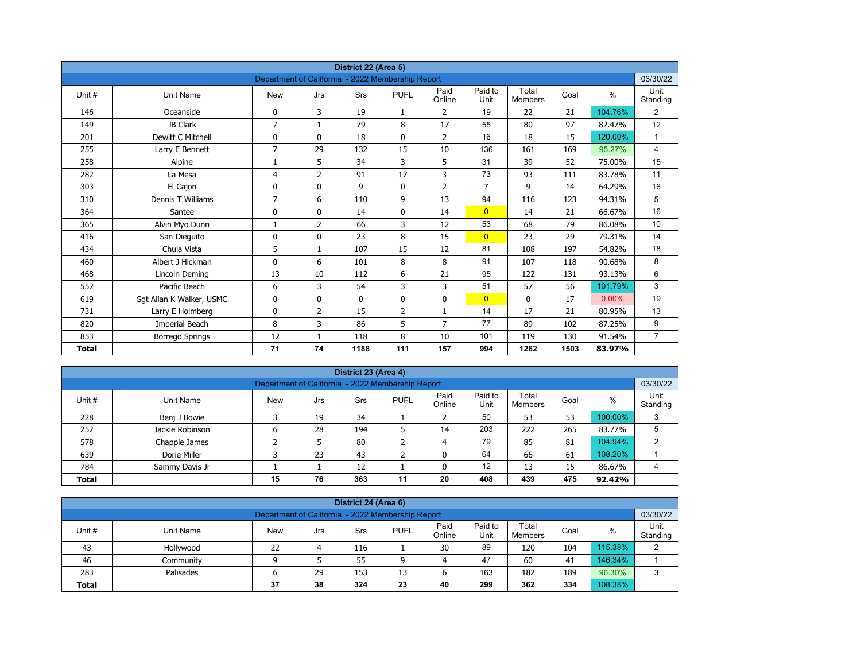| District 22 (Area 5) |                          |                                                   |                |             |                |                |                 |                         |      |          |                  |  |  |
|----------------------|--------------------------|---------------------------------------------------|----------------|-------------|----------------|----------------|-----------------|-------------------------|------|----------|------------------|--|--|
|                      |                          | Department of California - 2022 Membership Report |                |             |                |                |                 |                         |      |          | 03/30/22         |  |  |
| Unit#                | <b>Unit Name</b>         | <b>New</b>                                        | Jrs            | Srs         | <b>PUFL</b>    | Paid<br>Online | Paid to<br>Unit | Total<br><b>Members</b> | Goal | $\%$     | Unit<br>Standing |  |  |
| 146                  | Oceanside                | 0                                                 | 3              | 19          | $\mathbf{1}$   | 2              | 19              | 22                      | 21   | 104.76%  | 2                |  |  |
| 149                  | JB Clark                 | $\overline{7}$                                    | $\mathbf{1}$   | 79          | 8              | 17             | 55              | 80                      | 97   | 82.47%   | 12               |  |  |
| 201                  | Dewitt C Mitchell        | 0                                                 | $\mathbf{0}$   | 18          | $\mathbf{0}$   | $\overline{2}$ | 16              | 18                      | 15   | 120.00%  | $\mathbf{1}$     |  |  |
| 255                  | Larry E Bennett          | $\overline{7}$                                    | 29             | 132         | 15             | 10             | 136             | 161                     | 169  | 95.27%   | 4                |  |  |
| 258                  | Alpine                   | 1                                                 | 5              | 34          | 3              | 5              | 31              | 39                      | 52   | 75.00%   | 15               |  |  |
| 282                  | La Mesa                  | 4                                                 | $\overline{2}$ | 91          | 17             | 3              | 73              | 93                      | 111  | 83.78%   | 11               |  |  |
| 303                  | El Cajon                 | 0                                                 | 0              | 9           | $\mathbf 0$    | $\overline{2}$ | $\overline{7}$  | 9                       | 14   | 64.29%   | 16               |  |  |
| 310                  | Dennis T Williams        | 7                                                 | 6              | 110         | 9              | 13             | 94              | 116                     | 123  | 94.31%   | 5                |  |  |
| 364                  | Santee                   | 0                                                 | 0              | 14          | 0              | 14             | $\overline{0}$  | 14                      | 21   | 66.67%   | 16               |  |  |
| 365                  | Alvin Myo Dunn           | 1                                                 | $\overline{2}$ | 66          | 3              | 12             | 53              | 68                      | 79   | 86.08%   | 10               |  |  |
| 416                  | San Dieguito             | 0                                                 | $\Omega$       | 23          | 8              | 15             | $\overline{0}$  | 23                      | 29   | 79.31%   | 14               |  |  |
| 434                  | Chula Vista              | 5                                                 | $\mathbf{1}$   | 107         | 15             | 12             | 81              | 108                     | 197  | 54.82%   | 18               |  |  |
| 460                  | Albert J Hickman         | 0                                                 | 6              | 101         | 8              | 8              | 91              | 107                     | 118  | 90.68%   | 8                |  |  |
| 468                  | Lincoln Deming           | 13                                                | 10             | 112         | 6              | 21             | 95              | 122                     | 131  | 93.13%   | 6                |  |  |
| 552                  | Pacific Beach            | 6                                                 | 3              | 54          | 3              | 3              | 51              | 57                      | 56   | 101.79%  | 3                |  |  |
| 619                  | Sgt Allan K Walker, USMC | 0                                                 | 0              | $\mathbf 0$ | $\mathbf 0$    | 0              | $\overline{0}$  | 0                       | 17   | $0.00\%$ | 19               |  |  |
| 731                  | Larry E Holmberg         | 0                                                 | 2              | 15          | $\overline{2}$ | $\mathbf{1}$   | 14              | 17                      | 21   | 80.95%   | 13               |  |  |
| 820                  | Imperial Beach           | 8                                                 | 3              | 86          | 5              | 7              | 77              | 89                      | 102  | 87.25%   | 9                |  |  |
| 853                  | <b>Borrego Springs</b>   | 12                                                | 1              | 118         | 8              | 10             | 101             | 119                     | 130  | 91.54%   | $\overline{7}$   |  |  |
| <b>Total</b>         |                          | 71                                                | 74             | 1188        | 111            | 157            | 994             | 1262                    | 1503 | 83.97%   |                  |  |  |

| District 23 (Area 4) |                                                   |            |     |            |             |                |                 |                  |      |         |                  |  |  |  |  |
|----------------------|---------------------------------------------------|------------|-----|------------|-------------|----------------|-----------------|------------------|------|---------|------------------|--|--|--|--|
|                      | Department of California - 2022 Membership Report |            |     |            |             |                |                 |                  |      |         |                  |  |  |  |  |
| Unit #               | Unit Name                                         | <b>New</b> | Jrs | <b>Srs</b> | <b>PUFL</b> | Paid<br>Online | Paid to<br>Unit | Total<br>Members | Goal | %       | Unit<br>Standing |  |  |  |  |
| 228                  | Benj J Bowie                                      |            | 19  | 34         |             |                | 50              | 53               | 53   | 100.00% | 3                |  |  |  |  |
| 252                  | Jackie Robinson                                   | ь          | 28  | 194        |             | 14             | 203             | 222              | 265  | 83.77%  | 5                |  |  |  |  |
| 578                  | Chappie James                                     |            |     | 80         |             | 4              | 79              | 85               | 81   | 104.94% | っ                |  |  |  |  |
| 639                  | Dorie Miller                                      |            | 23  | 43         | ╮           | $\Omega$       | 64              | 66               | 61   | 108.20% |                  |  |  |  |  |
| 784                  | Sammy Davis Jr                                    |            |     | 12         |             |                | 12              | 13               | 15   | 86.67%  | 4                |  |  |  |  |
| <b>Total</b>         |                                                   | 15         | 76  | 363        | 11          | 20             | 408             | 439              | 475  | 92.42%  |                  |  |  |  |  |

|                                                                                                                                                  | District 24 (Area 6) |    |  |     |   |    |    |     |     |         |   |  |  |  |  |
|--------------------------------------------------------------------------------------------------------------------------------------------------|----------------------|----|--|-----|---|----|----|-----|-----|---------|---|--|--|--|--|
| 03/30/22<br>Department of California - 2022 Membership Report                                                                                    |                      |    |  |     |   |    |    |     |     |         |   |  |  |  |  |
| Paid<br>Paid to<br>Total<br>Unit #<br><b>PUFL</b><br>%<br>Goal<br>Unit Name<br><b>New</b><br>Srs<br>Jrs<br>Standing<br>Online<br>Unit<br>Members |                      |    |  |     |   |    |    |     |     |         |   |  |  |  |  |
| 43                                                                                                                                               | Hollywood            | 22 |  | 116 |   | 30 | 89 | 120 | 104 | 115.38% | C |  |  |  |  |
| 46                                                                                                                                               | Community            |    |  | 55  | q | 4  | 47 | 60  | 41  | 146.34% |   |  |  |  |  |
| 163<br>96.30%<br>189<br>283<br>29<br>153<br>182<br>13<br>Palisades<br>ь<br>ס                                                                     |                      |    |  |     |   |    |    |     |     |         |   |  |  |  |  |
| 299<br>108.38%<br>38<br>362<br>324<br>23<br>334<br>37<br>40<br><b>Total</b>                                                                      |                      |    |  |     |   |    |    |     |     |         |   |  |  |  |  |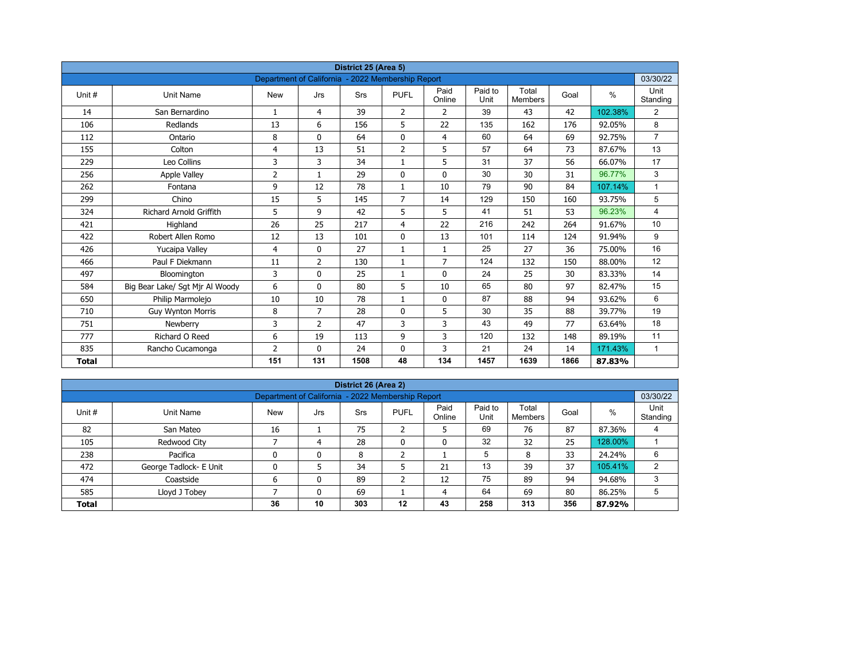| District 25 (Area 5)<br>Department of California - 2022 Membership Report |                                 |                |                |            |                |                |                 |                         |      |         |                  |  |  |
|---------------------------------------------------------------------------|---------------------------------|----------------|----------------|------------|----------------|----------------|-----------------|-------------------------|------|---------|------------------|--|--|
|                                                                           |                                 |                |                |            |                |                |                 |                         |      |         | 03/30/22         |  |  |
| Unit #                                                                    | Unit Name                       | <b>New</b>     | Jrs            | <b>Srs</b> | <b>PUFL</b>    | Paid<br>Online | Paid to<br>Unit | Total<br><b>Members</b> | Goal | $\%$    | Unit<br>Standing |  |  |
| 14                                                                        | San Bernardino                  | $\mathbf{1}$   | 4              | 39         | $\overline{2}$ | $\overline{2}$ | 39              | 43                      | 42   | 102.38% | $\overline{2}$   |  |  |
| 106                                                                       | Redlands                        | 13             | 6              | 156        | 5              | 22             | 135             | 162                     | 176  | 92.05%  | 8                |  |  |
| 112                                                                       | Ontario                         | 8              | $\Omega$       | 64         | $\mathbf 0$    | $\overline{4}$ | 60              | 64                      | 69   | 92.75%  | $\overline{7}$   |  |  |
| 155                                                                       | Colton                          | 4              | 13             | 51         | $\overline{2}$ | 5              | 57              | 64                      | 73   | 87.67%  | 13               |  |  |
| 229                                                                       | Leo Collins                     | 3              | 3              | 34         | $\mathbf{1}$   | 5              | 31              | 37                      | 56   | 66.07%  | 17               |  |  |
| 256                                                                       | <b>Apple Valley</b>             | $\overline{2}$ | $\mathbf{1}$   | 29         | $\mathbf{0}$   | $\mathbf{0}$   | 30              | 30                      | 31   | 96.77%  | 3                |  |  |
| 262                                                                       | Fontana                         | 9              | 12             | 78         | $\mathbf{1}$   | 10             | 79              | 90                      | 84   | 107.14% | $\mathbf{1}$     |  |  |
| 299                                                                       | Chino                           | 15             | 5              | 145        | $\overline{7}$ | 14             | 129             | 150                     | 160  | 93.75%  | 5                |  |  |
| 324                                                                       | <b>Richard Arnold Griffith</b>  | 5              | 9              | 42         | 5              | 5              | 41              | 51                      | 53   | 96.23%  | 4                |  |  |
| 421                                                                       | Highland                        | 26             | 25             | 217        | 4              | 22             | 216             | 242                     | 264  | 91.67%  | 10               |  |  |
| 422                                                                       | Robert Allen Romo               | 12             | 13             | 101        | $\mathbf{0}$   | 13             | 101             | 114                     | 124  | 91.94%  | 9                |  |  |
| 426                                                                       | Yucaipa Valley                  | 4              | $\mathbf{0}$   | 27         | $\mathbf{1}$   | $\mathbf{1}$   | 25              | 27                      | 36   | 75.00%  | 16               |  |  |
| 466                                                                       | Paul F Diekmann                 | 11             | $\overline{2}$ | 130        | $\mathbf{1}$   | $\overline{7}$ | 124             | 132                     | 150  | 88.00%  | 12               |  |  |
| 497                                                                       | Bloomington                     | 3              | 0              | 25         | $\mathbf{1}$   | $\mathbf 0$    | 24              | 25                      | 30   | 83.33%  | 14               |  |  |
| 584                                                                       | Big Bear Lake/ Sgt Mjr Al Woody | 6              | $\mathbf{0}$   | 80         | 5              | 10             | 65              | 80                      | 97   | 82.47%  | 15               |  |  |
| 650                                                                       | Philip Marmolejo                | 10             | 10             | 78         | $\mathbf{1}$   | 0              | 87              | 88                      | 94   | 93.62%  | 6                |  |  |
| 710                                                                       | <b>Guy Wynton Morris</b>        | 8              | $\overline{7}$ | 28         | $\mathbf{0}$   | 5              | 30              | 35                      | 88   | 39.77%  | 19               |  |  |
| 751                                                                       | Newberry                        | 3              | $\overline{2}$ | 47         | 3              | 3              | 43              | 49                      | 77   | 63.64%  | 18               |  |  |
| 777                                                                       | Richard O Reed                  | 6              | 19             | 113        | 9              | 3              | 120             | 132                     | 148  | 89.19%  | 11               |  |  |
| 835                                                                       | Rancho Cucamonga                | $\overline{2}$ | $\mathbf{0}$   | 24         | 0              | 3              | 21              | 24                      | 14   | 171.43% | $\mathbf{1}$     |  |  |
| <b>Total</b>                                                              |                                 | 151            | 131            | 1508       | 48             | 134            | 1457            | 1639                    | 1866 | 87.83%  |                  |  |  |

| District 26 (Area 2)                                                       |                                                               |            |     |     |              |                |                 |                  |      |         |                  |  |  |  |  |
|----------------------------------------------------------------------------|---------------------------------------------------------------|------------|-----|-----|--------------|----------------|-----------------|------------------|------|---------|------------------|--|--|--|--|
|                                                                            | 03/30/22<br>Department of California - 2022 Membership Report |            |     |     |              |                |                 |                  |      |         |                  |  |  |  |  |
| Unit#                                                                      | Unit Name                                                     | <b>New</b> | Jrs | Srs | <b>PUFL</b>  | Paid<br>Online | Paid to<br>Unit | Total<br>Members | Goal | %       | Unit<br>Standing |  |  |  |  |
| 82                                                                         | San Mateo                                                     | 16         |     | 75  | h<br>ے       | 5              | 69              | 76               | 87   | 87.36%  | 4                |  |  |  |  |
| 105                                                                        | Redwood City                                                  |            | 4   | 28  | $\mathbf{0}$ | 0              | 32              | 32               | 25   | 128.00% |                  |  |  |  |  |
| 238                                                                        | Pacifica                                                      |            | 0   | 8   | h            |                | 5               | 8                | 33   | 24.24%  | 6                |  |  |  |  |
| 472                                                                        | George Tadlock- E Unit                                        |            |     | 34  |              | 21             | 13              | 39               | 37   | 105.41% | 2                |  |  |  |  |
| 474                                                                        | Coastside                                                     | 6          | 0   | 89  | ຳ<br>∠       | 12             | 75              | 89               | 94   | 94.68%  | 3                |  |  |  |  |
| 64<br>5<br>585<br>69<br>69<br>Lloyd J Tobey<br>80<br>86.25%<br>0<br>4      |                                                               |            |     |     |              |                |                 |                  |      |         |                  |  |  |  |  |
| 356<br>10<br>303<br>258<br>313<br>36<br>12<br>43<br>87.92%<br><b>Total</b> |                                                               |            |     |     |              |                |                 |                  |      |         |                  |  |  |  |  |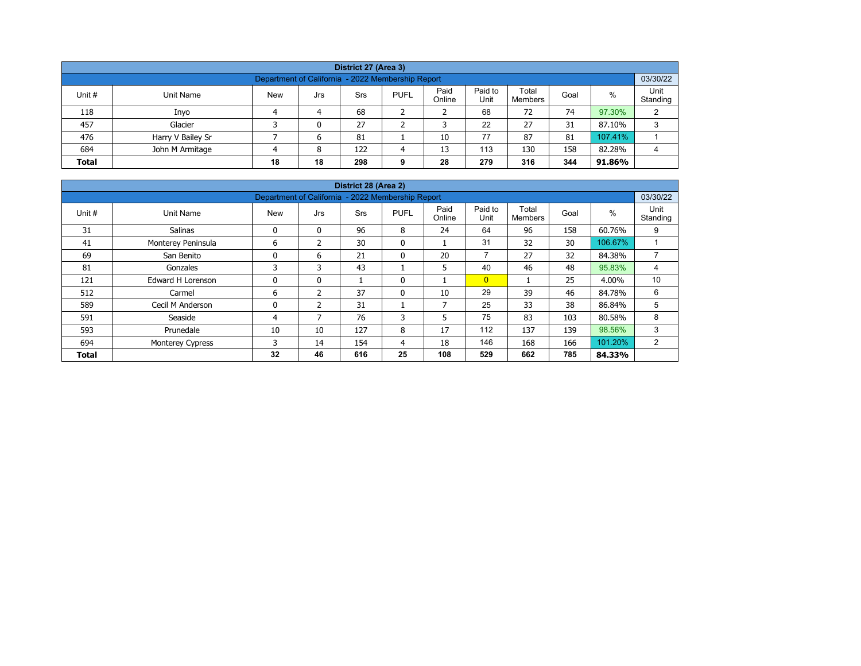| District 27 (Area 3)                                                                                                                                    |                   |  |   |    |  |    |    |    |    |         |   |  |  |  |
|---------------------------------------------------------------------------------------------------------------------------------------------------------|-------------------|--|---|----|--|----|----|----|----|---------|---|--|--|--|
| Department of California - 2022 Membership Report                                                                                                       |                   |  |   |    |  |    |    |    |    |         |   |  |  |  |
| Paid<br>Paid to<br>Total<br>%<br>Unit #<br><b>New</b><br><b>PUFL</b><br>Unit Name<br>Srs<br>Goal<br>Jrs<br>Unit<br>Online<br>Standing<br><b>Members</b> |                   |  |   |    |  |    |    |    |    |         |   |  |  |  |
| 118                                                                                                                                                     | Inyo              |  | 4 | 68 |  |    | 68 | 72 | 74 | 97.30%  | C |  |  |  |
| 457                                                                                                                                                     | Glacier           |  | 0 | 27 |  |    | 22 | 27 | 31 | 87.10%  | 3 |  |  |  |
| 476                                                                                                                                                     | Harry V Bailey Sr |  | 6 | 81 |  | 10 | 77 | 87 | 81 | 107.41% |   |  |  |  |
| 684<br>113<br>158<br>82.28%<br>John M Armitage<br>122<br>13<br>130<br>8<br>Δ                                                                            |                   |  |   |    |  |    |    |    |    |         |   |  |  |  |
| 18<br>344<br>279<br>28<br>316<br><b>Total</b><br>18<br>298<br>91.86%<br>9                                                                               |                   |  |   |    |  |    |    |    |    |         |   |  |  |  |

| District 28 (Area 2) |                    |                                                   |              |            |              |                |                          |                         |      |         |                  |  |  |  |
|----------------------|--------------------|---------------------------------------------------|--------------|------------|--------------|----------------|--------------------------|-------------------------|------|---------|------------------|--|--|--|
|                      |                    | Department of California - 2022 Membership Report |              |            |              |                |                          |                         |      |         | 03/30/22         |  |  |  |
| Unit #               | Unit Name          | <b>New</b>                                        | Jrs          | <b>Srs</b> | <b>PUFL</b>  | Paid<br>Online | Paid to<br>Unit          | Total<br><b>Members</b> | Goal | $\%$    | Unit<br>Standing |  |  |  |
| 31                   | Salinas            | 0                                                 | $\mathbf{0}$ | 96         | 8            | 24             | 64                       | 96                      | 158  | 60.76%  | 9                |  |  |  |
| 41                   | Monterey Peninsula | 6                                                 | 2            | 30         | $\mathbf{0}$ |                | 31                       | 32                      | 30   | 106.67% |                  |  |  |  |
| 69                   | San Benito         | 0                                                 | 6            | 21         | $\mathbf{0}$ | 20             | $\overline{\phantom{a}}$ | 27                      | 32   | 84.38%  | $\overline{ }$   |  |  |  |
| 81                   | Gonzales           | 3                                                 | 3            | 43         |              | 5              | 40                       | 46                      | 48   | 95.83%  | 4                |  |  |  |
| 121                  | Edward H Lorenson  | 0                                                 | $\mathbf{0}$ |            | $\mathbf{0}$ |                | $\overline{0}$           |                         | 25   | 4.00%   | 10               |  |  |  |
| 512                  | Carmel             | 6                                                 | 2            | 37         | $\mathbf{0}$ | 10             | 29                       | 39                      | 46   | 84.78%  | 6                |  |  |  |
| 589                  | Cecil M Anderson   | 0                                                 | 2            | 31         |              | 7              | 25                       | 33                      | 38   | 86.84%  | 5                |  |  |  |
| 591                  | Seaside            | 4                                                 | 7            | 76         | 3            | 5              | 75                       | 83                      | 103  | 80.58%  | 8                |  |  |  |
| 593                  | Prunedale          | 10                                                | 10           | 127        | 8            | 17             | 112                      | 137                     | 139  | 98.56%  | 3                |  |  |  |
| 694                  | Monterey Cypress   | 3                                                 | 14           | 154        | 4            | 18             | 146                      | 168                     | 166  | 101.20% | $\overline{2}$   |  |  |  |
| <b>Total</b>         |                    | 32                                                | 46           | 616        | 25           | 108            | 529                      | 662                     | 785  | 84.33%  |                  |  |  |  |